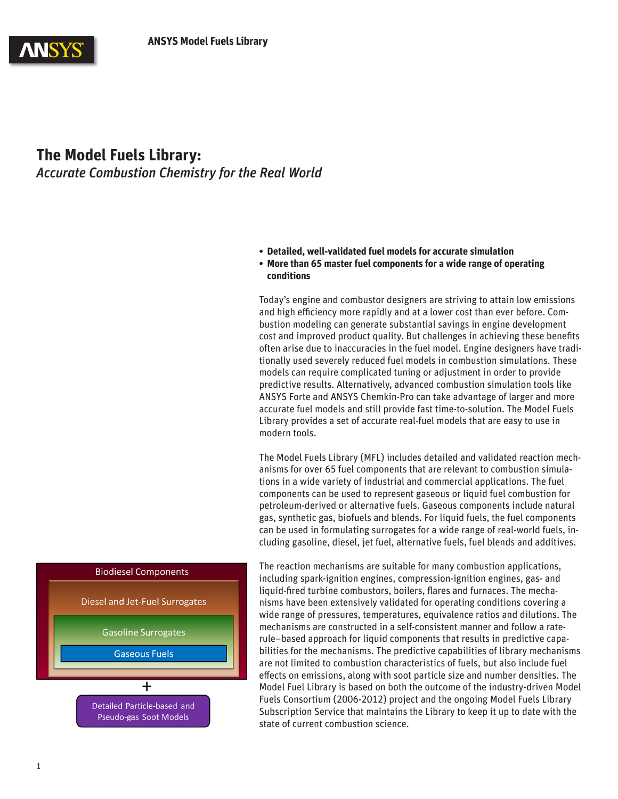

## **The Model Fuels Library:**  *Accurate Combustion Chemistry for the Real World*

- **Detailed, well-validated fuel models for accurate simulation**
- **More than 65 master fuel components for a wide range of operating conditions**

Today's engine and combustor designers are striving to attain low emissions and high efficiency more rapidly and at a lower cost than ever before. Combustion modeling can generate substantial savings in engine development cost and improved product quality. But challenges in achieving these benefits often arise due to inaccuracies in the fuel model. Engine designers have traditionally used severely reduced fuel models in combustion simulations. These models can require complicated tuning or adjustment in order to provide predictive results. Alternatively, advanced combustion simulation tools like ANSYS Forte and ANSYS Chemkin-Pro can take advantage of larger and more accurate fuel models and still provide fast time-to-solution. The Model Fuels Library provides a set of accurate real-fuel models that are easy to use in modern tools.

The Model Fuels Library (MFL) includes detailed and validated reaction mechanisms for over 65 fuel components that are relevant to combustion simulations in a wide variety of industrial and commercial applications. The fuel components can be used to represent gaseous or liquid fuel combustion for petroleum-derived or alternative fuels. Gaseous components include natural gas, synthetic gas, biofuels and blends. For liquid fuels, the fuel components can be used in formulating surrogates for a wide range of real-world fuels, including gasoline, diesel, jet fuel, alternative fuels, fuel blends and additives.



The reaction mechanisms are suitable for many combustion applications, including spark-ignition engines, compression-ignition engines, gas- and liquid-fired turbine combustors, boilers, flares and furnaces. The mechanisms have been extensively validated for operating conditions covering a wide range of pressures, temperatures, equivalence ratios and dilutions. The mechanisms are constructed in a self-consistent manner and follow a raterule–based approach for liquid components that results in predictive capabilities for the mechanisms. The predictive capabilities of library mechanisms are not limited to combustion characteristics of fuels, but also include fuel effects on emissions, along with soot particle size and number densities. The Model Fuel Library is based on both the outcome of the industry-driven Model Fuels Consortium (2006-2012) project and the ongoing Model Fuels Library Subscription Service that maintains the Library to keep it up to date with the state of current combustion science.